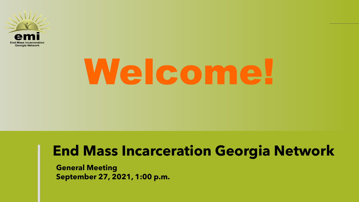

# Welcome!

### **End Mass Incarceration Georgia Network**

**General Meeting September 27, 2021, 1:00 p.m.**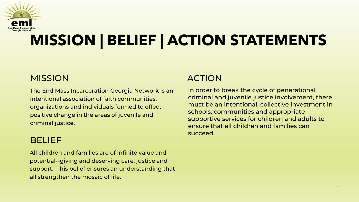

# **MISSION | BELIEF | ACTION STATEMENTS**

#### **MISSION**

The End Mass Incarceration Georgia Network is an intentional association of faith communities, organizations and individuals formed to effect positive change in the areas of juvenile and criminal justice.

#### BELIEF

All children and families are of infinite value and potential--giving and deserving care, justice and support. This belief ensures an understanding that all strengthen the mosaic of life.

#### ACTION

In order to break the cycle of generational criminal and juvenile justice involvement, there must be an intentional, collective investment in schools, communities and appropriate supportive services for children and adults to ensure that all children and families can succeed.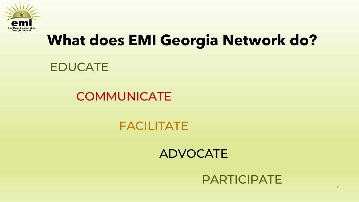

## **What does EMI Georgia Network do?**

#### EDUCATE

#### **COMMUNICATE**

#### FACILITATE

#### ADVOCATE

#### PARTICIPATE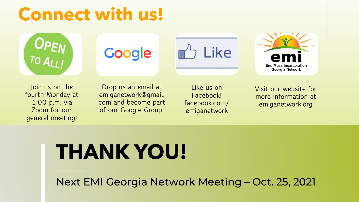# **Connect with us!**



# Google





**Join us on the fourth Monday at 1:00 p.m. via Zoom for our general meeting!**

**Drop us an email at emiganetwork@gmail. com and become part of our Google Group!**

**Like us on Facebook! facebook.com/ emiganetwork**

**Visit our website for more information at emiganetwork.org**

# **THANK YOU!**

Next EMI Georgia Network Meeting – Oct. 25, 2021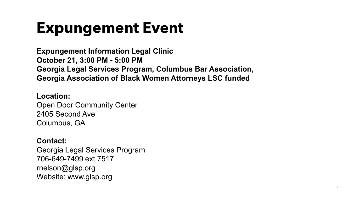# **Expungement Event**

**Expungement Information Legal Clinic October 21, 3:00 PM - 5:00 PM Georgia Legal Services Program, Columbus Bar Association, Georgia Association of Black Women Attorneys LSC funded**

#### **Location:**

Open Door Community Center 2405 Second Ave Columbus, GA

#### **Contact:**

Georgia Legal Services Program 706-649-7499 ext 7517 rnelson@glsp.org Website: www.glsp.org